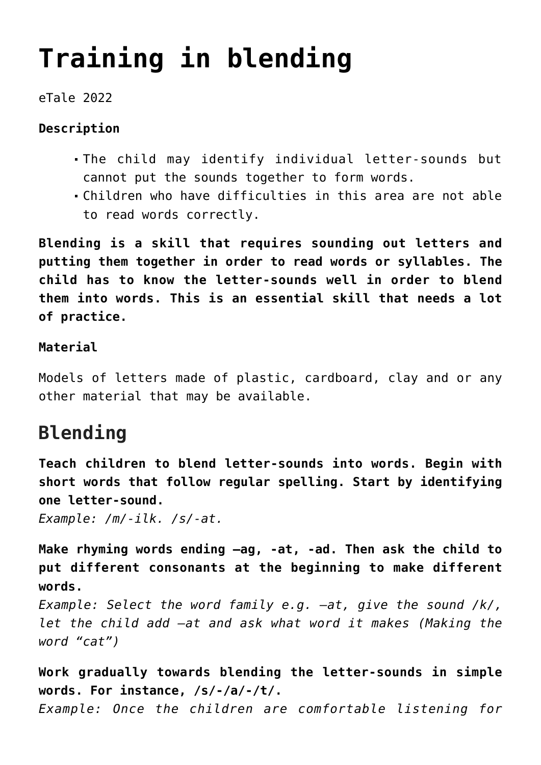# **[Training in blending](https://dev.taleafrica.com/tips/training-in-blending/)**

#### eTale 2022

#### **Description**

- The child may identify individual letter-sounds but cannot put the sounds together to form words.
- Children who have difficulties in this area are not able to read words correctly.

**Blending is a skill that requires sounding out letters and putting them together in order to read words or syllables. The child has to know the letter-sounds well in order to blend them into words. This is an essential skill that needs a lot of practice.**

#### **Material**

Models of letters made of plastic, cardboard, clay and or any other material that may be available.

## **Blending**

**Teach children to blend letter-sounds into words. Begin with short words that follow regular spelling. Start by identifying one letter-sound.**

*Example: /m/-ilk. /s/-at.*

**Make rhyming words ending –ag, -at, -ad. Then ask the child to put different consonants at the beginning to make different words.**

*Example: Select the word family e.g. –at, give the sound /k/, let the child add –at and ask what word it makes (Making the word "cat")*

**Work gradually towards blending the letter-sounds in simple words. For instance, /s/-/a/-/t/.**

*Example: Once the children are comfortable listening for*